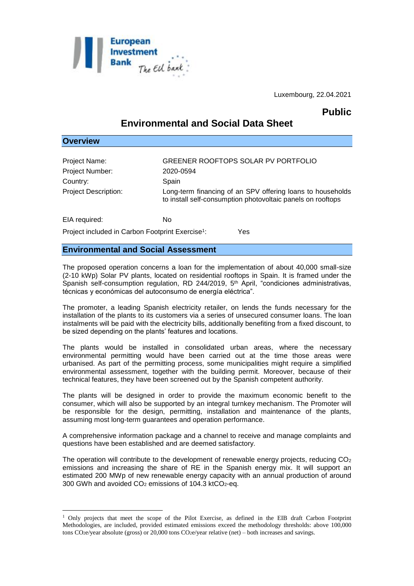

Luxembourg, 22.04.2021

## **Public**

# **Environmental and Social Data Sheet**

| <b>Overview</b>             |                                                                                                                           |
|-----------------------------|---------------------------------------------------------------------------------------------------------------------------|
|                             |                                                                                                                           |
| Project Name:               | GREENER ROOFTOPS SOLAR PV PORTFOLIO                                                                                       |
| Project Number:             | 2020-0594                                                                                                                 |
| Country:                    | Spain                                                                                                                     |
| <b>Project Description:</b> | Long-term financing of an SPV offering loans to households<br>to install self-consumption photovoltaic panels on rooftops |
| EIA required:               | No                                                                                                                        |

Project included in Carbon Footprint Exercise<sup>1</sup>: : Yes

### **Environmental and Social Assessment**

1

The proposed operation concerns a loan for the implementation of about 40,000 small-size (2-10 kWp) Solar PV plants, located on residential rooftops in Spain. It is framed under the Spanish self-consumption regulation, RD 244/2019, 5<sup>th</sup> April, "condiciones administrativas, técnicas y económicas del autoconsumo de energía eléctrica".

The promoter, a leading Spanish electricity retailer, on lends the funds necessary for the installation of the plants to its customers via a series of unsecured consumer loans. The loan instalments will be paid with the electricity bills, additionally benefiting from a fixed discount, to be sized depending on the plants' features and locations.

The plants would be installed in consolidated urban areas, where the necessary environmental permitting would have been carried out at the time those areas were urbanised. As part of the permitting process, some municipalities might require a simplified environmental assessment, together with the building permit. Moreover, because of their technical features, they have been screened out by the Spanish competent authority.

The plants will be designed in order to provide the maximum economic benefit to the consumer, which will also be supported by an integral turnkey mechanism. The Promoter will be responsible for the design, permitting, installation and maintenance of the plants, assuming most long-term guarantees and operation performance.

A comprehensive information package and a channel to receive and manage complaints and questions have been established and are deemed satisfactory.

The operation will contribute to the development of renewable energy projects, reducing  $CO<sub>2</sub>$ emissions and increasing the share of RE in the Spanish energy mix. It will support an estimated 200 MWp of new renewable energy capacity with an annual production of around 300 GWh and avoided  $CO<sub>2</sub>$  emissions of 104.3 ktCO<sub>2</sub>-eq.

<sup>1</sup> Only projects that meet the scope of the Pilot Exercise, as defined in the EIB draft Carbon Footprint Methodologies, are included, provided estimated emissions exceed the methodology thresholds: above 100,000 tons  $CO_2$ e/year absolute (gross) or 20,000 tons  $CO_2$ e/year relative (net) – both increases and savings.